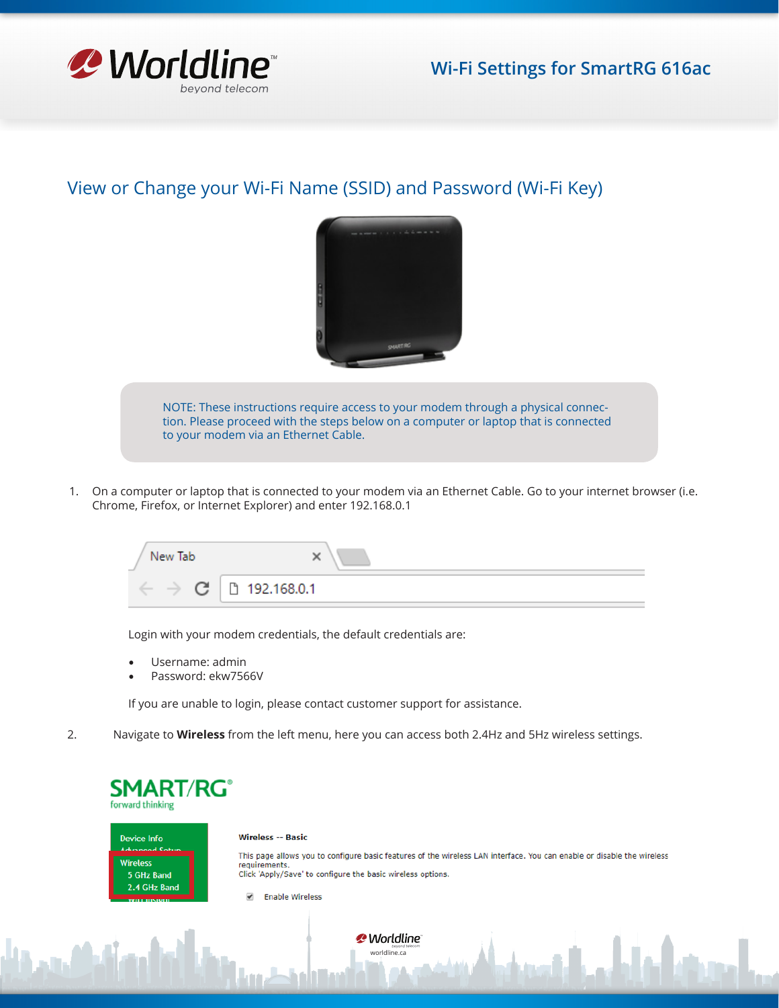

## View or Change your Wi-Fi Name (SSID) and Password (Wi-Fi Key)



NOTE: These instructions require access to your modem through a physical connection. Please proceed with the steps below on a computer or laptop that is connected to your modem via an Ethernet Cable.

1. On a computer or laptop that is connected to your modem via an Ethernet Cable. Go to your internet browser (i.e. Chrome, Firefox, or Internet Explorer) and enter 192.168.0.1

| New Tab<br>$\sim$ |               |
|-------------------|---------------|
| Œ                 | □ 192.168.0.1 |

Login with your modem credentials, the default credentials are:

- Username: admin
- Password: ekw7566V

If you are unable to login, please contact customer support for assistance.

2. Navigate to **Wireless** from the left menu, here you can access both 2.4Hz and 5Hz wireless settings.

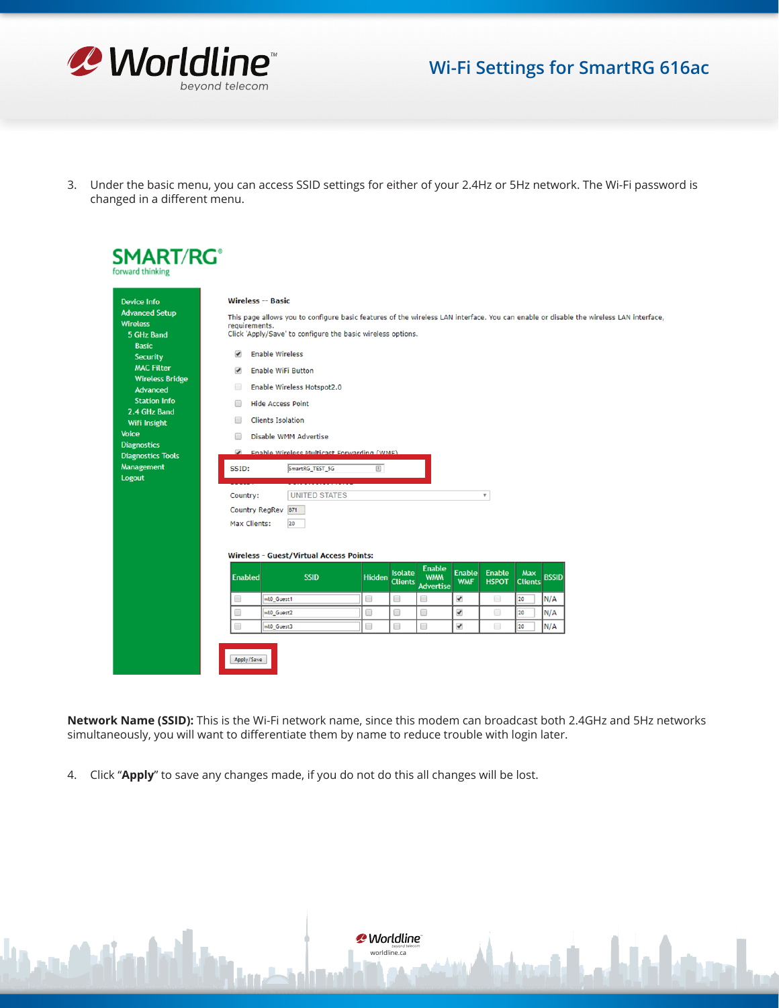

## **Wi-Fi Settings for SmartRG 616ac**

3. Under the basic menu, you can access SSID settings for either of your 2.4Hz or 5Hz network. The Wi-Fi password is changed in a different menu.

| <b>Device Info</b>                                                     | <b>Wireless -- Basic</b><br>This page allows you to configure basic features of the wireless LAN interface. You can enable or disable the wireless LAN interface<br>requirements.<br>Click 'Apply/Save' to configure the basic wireless options. |                                                   |               |                |                                 |                             |                               |                       |              |  |
|------------------------------------------------------------------------|--------------------------------------------------------------------------------------------------------------------------------------------------------------------------------------------------------------------------------------------------|---------------------------------------------------|---------------|----------------|---------------------------------|-----------------------------|-------------------------------|-----------------------|--------------|--|
| <b>Advanced Setup</b><br><b>Wireless</b><br>5 GHz Band<br><b>Basic</b> |                                                                                                                                                                                                                                                  |                                                   |               |                |                                 |                             |                               |                       |              |  |
| <b>Security</b>                                                        | <b>Enable Wireless</b><br>$\overline{\mathcal{L}}$                                                                                                                                                                                               |                                                   |               |                |                                 |                             |                               |                       |              |  |
| <b>MAC Filter</b><br><b>Wireless Bridge</b>                            | $\overline{\mathcal{L}}$<br><b>Enable WiFi Button</b>                                                                                                                                                                                            |                                                   |               |                |                                 |                             |                               |                       |              |  |
| Advanced                                                               | Enable Wireless Hotspot2.0<br>$\Box$                                                                                                                                                                                                             |                                                   |               |                |                                 |                             |                               |                       |              |  |
| <b>Station Info</b>                                                    | $\Box$                                                                                                                                                                                                                                           | <b>Hide Access Point</b>                          |               |                |                                 |                             |                               |                       |              |  |
| 2.4 GHz Band                                                           |                                                                                                                                                                                                                                                  |                                                   |               |                |                                 |                             |                               |                       |              |  |
| Wifi Insight                                                           | <b>Clients Isolation</b><br>▣                                                                                                                                                                                                                    |                                                   |               |                |                                 |                             |                               |                       |              |  |
| <b>Voice</b>                                                           | ⋒                                                                                                                                                                                                                                                | Disable WMM Advertise                             |               |                |                                 |                             |                               |                       |              |  |
| <b>Diagnostics</b>                                                     |                                                                                                                                                                                                                                                  | <b>Enable Wireless Multicast Forwarding (WMF)</b> |               |                |                                 |                             |                               |                       |              |  |
| <b>Diagnostics Tools</b>                                               |                                                                                                                                                                                                                                                  |                                                   |               |                |                                 |                             |                               |                       |              |  |
| <b>Management</b><br><b>Logout</b>                                     | SSID:                                                                                                                                                                                                                                            | SmartRG_TEST_5G                                   | 回             |                |                                 |                             |                               |                       |              |  |
|                                                                        |                                                                                                                                                                                                                                                  |                                                   |               |                |                                 |                             |                               |                       |              |  |
|                                                                        | Country:                                                                                                                                                                                                                                         | <b>UNITED STATES</b>                              |               |                |                                 |                             | $\overline{\mathbf{v}}$       |                       |              |  |
|                                                                        | Country RegRev 871<br>20<br>Max Clients:                                                                                                                                                                                                         |                                                   |               |                |                                 |                             |                               |                       |              |  |
|                                                                        |                                                                                                                                                                                                                                                  |                                                   |               |                |                                 |                             |                               |                       |              |  |
|                                                                        |                                                                                                                                                                                                                                                  |                                                   |               |                |                                 |                             |                               |                       |              |  |
|                                                                        |                                                                                                                                                                                                                                                  | <b>Wireless - Guest/Virtual Access Points:</b>    |               |                |                                 |                             |                               |                       |              |  |
|                                                                        |                                                                                                                                                                                                                                                  |                                                   |               |                | <b>Enable</b>                   |                             |                               |                       |              |  |
|                                                                        | <b>Enabled</b>                                                                                                                                                                                                                                   | <b>SSID</b>                                       | <b>Hidden</b> | <b>Isolate</b> | <b>WMM</b><br>Clients Advertise | <b>Enable</b><br><b>WMF</b> | <b>Enable</b><br><b>HSPOT</b> | Max<br><b>Clients</b> | <b>BSSID</b> |  |
|                                                                        | $\Box$                                                                                                                                                                                                                                           | wt0_Guest1                                        | 0             | 0              | $\Box$                          | $\blacktriangledown$        | $\qquad \qquad \Box$          | 20                    | N/A          |  |
|                                                                        |                                                                                                                                                                                                                                                  |                                                   | 0             | 0              | 0                               | $\blacktriangledown$        | $\Box$                        | 20                    | N/A          |  |
|                                                                        | $\Box$                                                                                                                                                                                                                                           | wl0 Guest2                                        |               |                |                                 |                             |                               |                       |              |  |

**Network Name (SSID):** This is the Wi-Fi network name, since this modem can broadcast both 2.4GHz and 5Hz networks simultaneously, you will want to differentiate them by name to reduce trouble with login later.

4. Click "**Apply**" to save any changes made, if you do not do this all changes will be lost.

*P* Worldline<sup>®</sup> <sup>weyond te</sup><br>worldline.ca